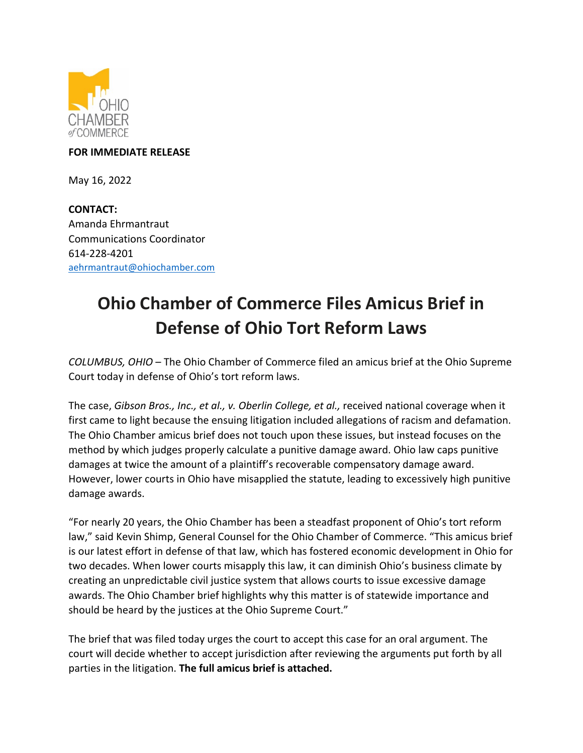

## **FOR IMMEDIATE RELEASE**

May 16, 2022

**CONTACT:**  Amanda Ehrmantraut Communications Coordinator 614-228-4201 [aehrmantraut@ohiochamber.com](mailto:aehrmantraut@ohiochamber.com)

## **Ohio Chamber of Commerce Files Amicus Brief in Defense of Ohio Tort Reform Laws**

*COLUMBUS, OHIO* – The Ohio Chamber of Commerce filed an amicus brief at the Ohio Supreme Court today in defense of Ohio's tort reform laws.

The case, *Gibson Bros., Inc., et al., v. Oberlin College, et al.,* received national coverage when it first came to light because the ensuing litigation included allegations of racism and defamation. The Ohio Chamber amicus brief does not touch upon these issues, but instead focuses on the method by which judges properly calculate a punitive damage award. Ohio law caps punitive damages at twice the amount of a plaintiff's recoverable compensatory damage award. However, lower courts in Ohio have misapplied the statute, leading to excessively high punitive damage awards.

"For nearly 20 years, the Ohio Chamber has been a steadfast proponent of Ohio's tort reform law," said Kevin Shimp, General Counsel for the Ohio Chamber of Commerce. "This amicus brief is our latest effort in defense of that law, which has fostered economic development in Ohio for two decades. When lower courts misapply this law, it can diminish Ohio's business climate by creating an unpredictable civil justice system that allows courts to issue excessive damage awards. The Ohio Chamber brief highlights why this matter is of statewide importance and should be heard by the justices at the Ohio Supreme Court."

The brief that was filed today urges the court to accept this case for an oral argument. The court will decide whether to accept jurisdiction after reviewing the arguments put forth by all parties in the litigation. **The full amicus brief is attached.**